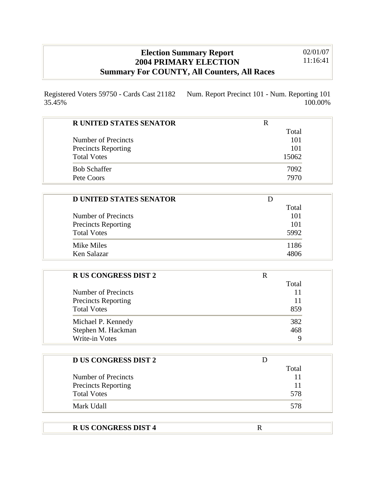## **Election Summary Report 2004 PRIMARY ELECTION Summary For COUNTY, All Counters, All Races**

02/01/07 11:16:41

100.00%

Registered Voters 59750 - Cards Cast 21182 35.45% Num. Report Precinct 101 - Num. Reporting 101

| <b>R UNITED STATES SENATOR</b> |       |
|--------------------------------|-------|
|                                | Total |
| Number of Precincts            | 101   |
| <b>Precincts Reporting</b>     | 101   |
| <b>Total Votes</b>             | 15062 |
| <b>Bob Schaffer</b>            | 7092  |
| Pete Coors                     | 7970  |

| <b>D UNITED STATES SENATOR</b> |       |
|--------------------------------|-------|
|                                | Total |
| Number of Precincts            | 101   |
| <b>Precincts Reporting</b>     | 101   |
| <b>Total Votes</b>             | 5992  |
| Mike Miles                     | 1186  |
| Ken Salazar                    | 4806  |

| <b>RUS CONGRESS DIST 2</b> |       |
|----------------------------|-------|
|                            | Total |
| Number of Precincts        | 11    |
| <b>Precincts Reporting</b> | 11    |
| <b>Total Votes</b>         | 859   |
| Michael P. Kennedy         | 382   |
| Stephen M. Hackman         | 468   |
| <b>Write-in Votes</b>      | q     |

| <b>D US CONGRESS DIST 2</b> |       |
|-----------------------------|-------|
|                             | Total |
| Number of Precincts         |       |
| <b>Precincts Reporting</b>  |       |
| <b>Total Votes</b>          | 578   |
| Mark Udall                  | 578   |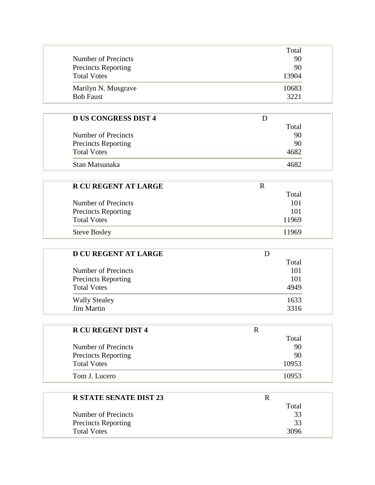|                            | Total |
|----------------------------|-------|
| Number of Precincts        | 90    |
| <b>Precincts Reporting</b> | 90    |
| <b>Total Votes</b>         | 13904 |
| Marilyn N. Musgrave        | 10683 |
| <b>Bob Faust</b>           | 3221  |

| <b>D US CONGRESS DIST 4</b> |       |
|-----------------------------|-------|
|                             | Total |
| Number of Precincts         | 90    |
| <b>Precincts Reporting</b>  | 90    |
| <b>Total Votes</b>          | 4682  |
| Stan Matsunaka              |       |

| <b>R CU REGENT AT LARGE</b> | R     |
|-----------------------------|-------|
|                             | Total |
| Number of Precincts         | 101   |
| <b>Precincts Reporting</b>  | 101   |
| <b>Total Votes</b>          | 11969 |
| <b>Steve Bosley</b>         | 11969 |

| <b>D CU REGENT AT LARGE</b> |       |
|-----------------------------|-------|
|                             | Total |
| Number of Precincts         | 101   |
| <b>Precincts Reporting</b>  | 101   |
| <b>Total Votes</b>          | 4949  |
| <b>Wally Stealey</b>        | 1633  |
| <b>Jim Martin</b>           | 3316  |

| <b>R CU REGENT DIST 4</b>  | R     |
|----------------------------|-------|
|                            | Total |
| Number of Precincts        | 90    |
| <b>Precincts Reporting</b> | 90    |
| <b>Total Votes</b>         | 10953 |
| Tom J. Lucero              | 10953 |

| <b>R STATE SENATE DIST 23</b> |       |
|-------------------------------|-------|
|                               | Total |
| Number of Precincts           | 33    |
| <b>Precincts Reporting</b>    | 33    |
| <b>Total Votes</b>            | 3096  |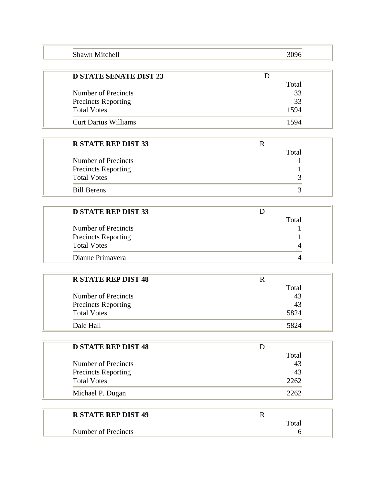| Shawn Mitchell | 3096 |
|----------------|------|
|                |      |

| <b>D STATE SENATE DIST 23</b> |       |
|-------------------------------|-------|
|                               | Total |
| Number of Precincts           | 33    |
| <b>Precincts Reporting</b>    | 33    |
| <b>Total Votes</b>            | 1594  |
| Curt Darius Williams          | 1594  |

| <b>R STATE REP DIST 33</b> |       |
|----------------------------|-------|
|                            | Total |
| Number of Precincts        |       |
| <b>Precincts Reporting</b> |       |
| <b>Total Votes</b>         |       |
| <b>Bill Berens</b>         |       |

| <b>D STATE REP DIST 33</b> |       |
|----------------------------|-------|
|                            | Total |
| Number of Precincts        |       |
| <b>Precincts Reporting</b> |       |
| <b>Total Votes</b>         |       |
| Dianne Primayera           |       |

| <b>R STATE REP DIST 48</b> |       |
|----------------------------|-------|
|                            | Total |
| Number of Precincts        | 43    |
| <b>Precincts Reporting</b> | 43    |
| <b>Total Votes</b>         | 5824  |
| Dale Hall                  | 5824  |

| <b>D STATE REP DIST 48</b> |       |
|----------------------------|-------|
|                            | Total |
| Number of Precincts        | 43    |
| <b>Precincts Reporting</b> | 43    |
| <b>Total Votes</b>         | 2262  |
| Michael P. Dugan           | 2262  |

| <b>R STATE REP DIST 49</b> |                      |
|----------------------------|----------------------|
|                            | $\tau_{\text{otal}}$ |
| Number of Precincts        |                      |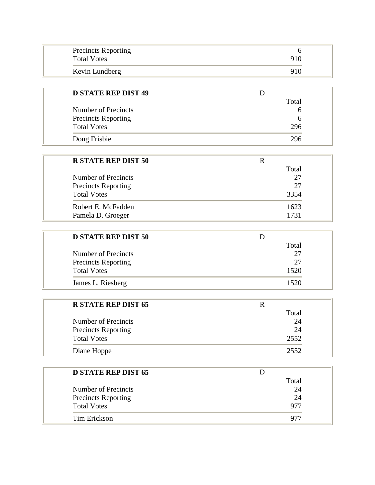| <b>Precincts Reporting</b><br><b>Total Votes</b> | 910 |
|--------------------------------------------------|-----|
| Kevin Lundberg                                   | 910 |

| <b>D STATE REP DIST 49</b> |       |  |
|----------------------------|-------|--|
|                            | Total |  |
| Number of Precincts        |       |  |
| <b>Precincts Reporting</b> | b     |  |
| <b>Total Votes</b>         | 296   |  |
| Doug Frisbie               | 296   |  |

| <b>R STATE REP DIST 50</b> |       |
|----------------------------|-------|
|                            | Total |
| Number of Precincts        | 27    |
| <b>Precincts Reporting</b> | 27    |
| <b>Total Votes</b>         | 3354  |
| Robert E. McFadden         | 1623  |
| Pamela D. Groeger          | 1731  |

| <b>D STATE REP DIST 50</b> |       |
|----------------------------|-------|
|                            | Total |
| Number of Precincts        | 27    |
| <b>Precincts Reporting</b> | 27    |
| <b>Total Votes</b>         | 1520  |
| James L. Riesberg          | 1520  |

| <b>R STATE REP DIST 65</b> | R     |  |
|----------------------------|-------|--|
|                            | Total |  |
| Number of Precincts        | 24    |  |
| <b>Precincts Reporting</b> | 24    |  |
| <b>Total Votes</b>         | 2552  |  |
| Diane Hoppe                | 2552  |  |

| <b>D STATE REP DIST 65</b> |       |
|----------------------------|-------|
|                            | Total |
| Number of Precincts        | 24    |
| <b>Precincts Reporting</b> | 24    |
| <b>Total Votes</b>         | 977   |
| Tim Erickson               | Q7'   |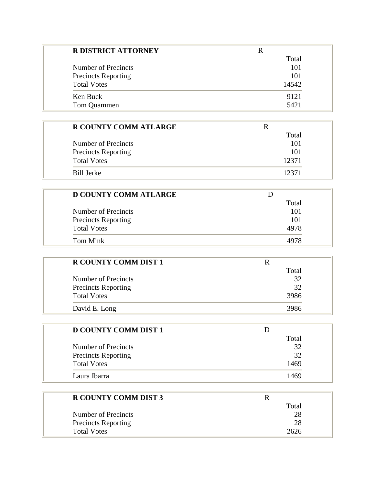| <b>R DISTRICT ATTORNEY</b> |       |
|----------------------------|-------|
|                            | Total |
| Number of Precincts        | 101   |
| <b>Precincts Reporting</b> | 101   |
| <b>Total Votes</b>         | 14542 |
| Ken Buck                   | 9121  |
| Tom Quammen                | 5421  |

| <b>R COUNTY COMM ATLARGE</b> |       |
|------------------------------|-------|
|                              | Total |
| Number of Precincts          | 101   |
| <b>Precincts Reporting</b>   | 101   |
| <b>Total Votes</b>           | 12371 |
| Bill Jerke                   | 12371 |

| <b>D COUNTY COMM ATLARGE</b> |       |  |
|------------------------------|-------|--|
|                              | Total |  |
| Number of Precincts          | 101   |  |
| <b>Precincts Reporting</b>   | 101   |  |
| <b>Total Votes</b>           | 4978  |  |
| Tom Mink                     | 4978  |  |

| <b>R COUNTY COMM DIST 1</b> |       |
|-----------------------------|-------|
|                             | Total |
| Number of Precincts         | 32    |
| <b>Precincts Reporting</b>  | 32    |
| <b>Total Votes</b>          | 3986  |
| David E. Long               | 3986  |

| <b>D COUNTY COMM DIST 1</b> |       |
|-----------------------------|-------|
|                             | Total |
| Number of Precincts         | 32    |
| <b>Precincts Reporting</b>  | 32    |
| <b>Total Votes</b>          | 1469  |
| Laura Ibarra                | 1469  |

| <b>R COUNTY COMM DIST 3</b>      |  |
|----------------------------------|--|
| Total                            |  |
| 28<br>Number of Precincts        |  |
| 28<br><b>Precincts Reporting</b> |  |
| <b>Total Votes</b><br>2626       |  |